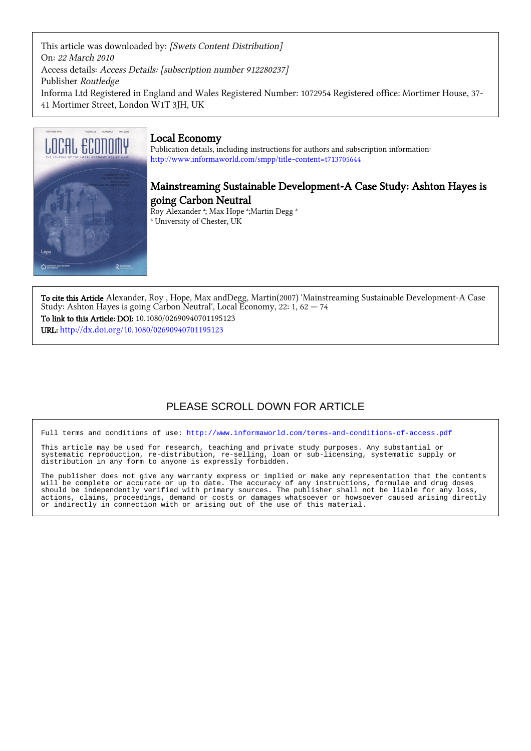This article was downloaded by: [Swets Content Distribution] On: 22 March 2010 Access details: Access Details: [subscription number 912280237] Publisher Routledge Informa Ltd Registered in England and Wales Registered Number: 1072954 Registered office: Mortimer House, 37- 41 Mortimer Street, London W1T 3JH, UK



# Local Economy

Publication details, including instructions for authors and subscription information: <http://www.informaworld.com/smpp/title~content=t713705644>

# Mainstreaming Sustainable Development-A Case Study: Ashton Hayes is going Carbon Neutral

Roy Alexander <sup>a</sup>; Max Hope <sup>a</sup>; Martin Degg <sup>a</sup> a University of Chester, UK

To cite this Article Alexander, Roy , Hope, Max andDegg, Martin(2007) 'Mainstreaming Sustainable Development-A Case Study: Ashton Hayes is going Carbon Neutral', Local Economy, 22: 1, 62 — 74 To link to this Article: DOI: 10.1080/02690940701195123 URL: <http://dx.doi.org/10.1080/02690940701195123>

# PLEASE SCROLL DOWN FOR ARTICLE

Full terms and conditions of use:<http://www.informaworld.com/terms-and-conditions-of-access.pdf>

This article may be used for research, teaching and private study purposes. Any substantial or systematic reproduction, re-distribution, re-selling, loan or sub-licensing, systematic supply or distribution in any form to anyone is expressly forbidden.

The publisher does not give any warranty express or implied or make any representation that the contents will be complete or accurate or up to date. The accuracy of any instructions, formulae and drug doses should be independently verified with primary sources. The publisher shall not be liable for any loss, actions, claims, proceedings, demand or costs or damages whatsoever or howsoever caused arising directly or indirectly in connection with or arising out of the use of this material.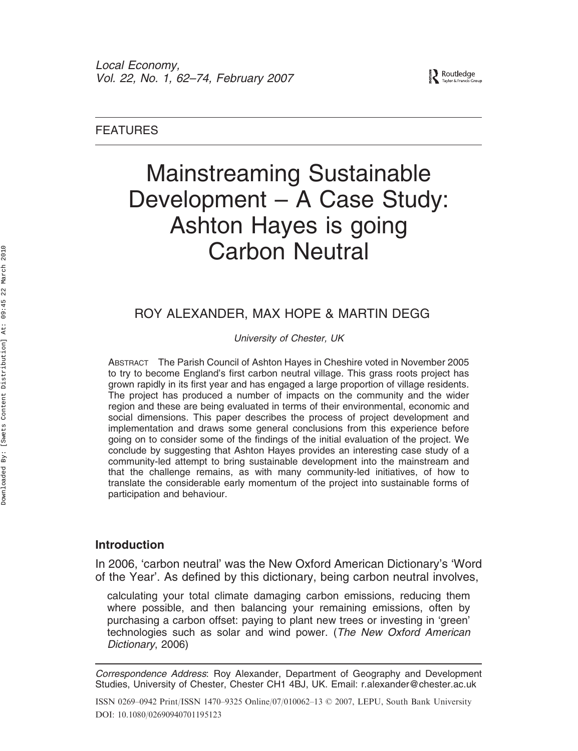$\left\{\right. \right\}$  Routledge

# FEATURES

# Mainstreaming Sustainable Development – A Case Study: Ashton Hayes is going Carbon Neutral

# ROY ALEXANDER, MAX HOPE & MARTIN DEGG

University of Chester, UK

ABSTRACT The Parish Council of Ashton Hayes in Cheshire voted in November 2005 to try to become England's first carbon neutral village. This grass roots project has grown rapidly in its first year and has engaged a large proportion of village residents. The project has produced a number of impacts on the community and the wider region and these are being evaluated in terms of their environmental, economic and social dimensions. This paper describes the process of project development and implementation and draws some general conclusions from this experience before going on to consider some of the findings of the initial evaluation of the project. We conclude by suggesting that Ashton Hayes provides an interesting case study of a community-led attempt to bring sustainable development into the mainstream and that the challenge remains, as with many community-led initiatives, of how to translate the considerable early momentum of the project into sustainable forms of participation and behaviour.

## Introduction

In 2006, 'carbon neutral' was the New Oxford American Dictionary's 'Word of the Year'. As defined by this dictionary, being carbon neutral involves,

calculating your total climate damaging carbon emissions, reducing them where possible, and then balancing your remaining emissions, often by purchasing a carbon offset: paying to plant new trees or investing in 'green' technologies such as solar and wind power. (The New Oxford American Dictionary, 2006)

ISSN 0269–0942 Print/ISSN 1470–9325 Online/07/010062–13 2007, LEPU, South Bank University DOI: 10.1080/02690940701195123

Correspondence Address: Roy Alexander, Department of Geography and Development Studies, University of Chester, Chester CH1 4BJ, UK. Email: r.alexander@chester.ac.uk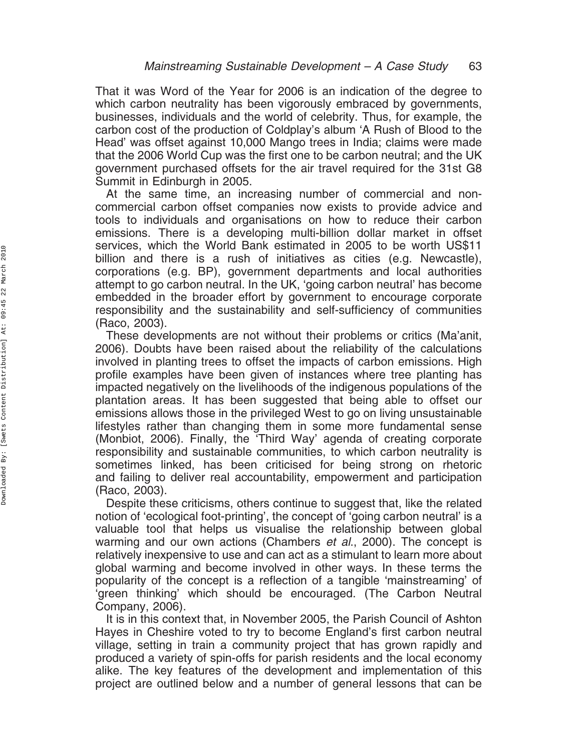That it was Word of the Year for 2006 is an indication of the degree to which carbon neutrality has been vigorously embraced by governments, businesses, individuals and the world of celebrity. Thus, for example, the carbon cost of the production of Coldplay's album 'A Rush of Blood to the Head' was offset against 10,000 Mango trees in India; claims were made that the 2006 World Cup was the first one to be carbon neutral; and the UK government purchased offsets for the air travel required for the 31st G8 Summit in Edinburgh in 2005.

At the same time, an increasing number of commercial and noncommercial carbon offset companies now exists to provide advice and tools to individuals and organisations on how to reduce their carbon emissions. There is a developing multi-billion dollar market in offset services, which the World Bank estimated in 2005 to be worth US\$11 billion and there is a rush of initiatives as cities (e.g. Newcastle), corporations (e.g. BP), government departments and local authorities attempt to go carbon neutral. In the UK, 'going carbon neutral' has become embedded in the broader effort by government to encourage corporate responsibility and the sustainability and self-sufficiency of communities (Raco, 2003).

These developments are not without their problems or critics (Ma'anit, 2006). Doubts have been raised about the reliability of the calculations involved in planting trees to offset the impacts of carbon emissions. High profile examples have been given of instances where tree planting has impacted negatively on the livelihoods of the indigenous populations of the plantation areas. It has been suggested that being able to offset our emissions allows those in the privileged West to go on living unsustainable lifestyles rather than changing them in some more fundamental sense (Monbiot, 2006). Finally, the 'Third Way' agenda of creating corporate responsibility and sustainable communities, to which carbon neutrality is sometimes linked, has been criticised for being strong on rhetoric and failing to deliver real accountability, empowerment and participation (Raco, 2003).

Despite these criticisms, others continue to suggest that, like the related notion of 'ecological foot-printing', the concept of 'going carbon neutral' is a valuable tool that helps us visualise the relationship between global warming and our own actions (Chambers et al., 2000). The concept is relatively inexpensive to use and can act as a stimulant to learn more about global warming and become involved in other ways. In these terms the popularity of the concept is a reflection of a tangible 'mainstreaming' of 'green thinking' which should be encouraged. (The Carbon Neutral Company, 2006).

It is in this context that, in November 2005, the Parish Council of Ashton Hayes in Cheshire voted to try to become England's first carbon neutral village, setting in train a community project that has grown rapidly and produced a variety of spin-offs for parish residents and the local economy alike. The key features of the development and implementation of this project are outlined below and a number of general lessons that can be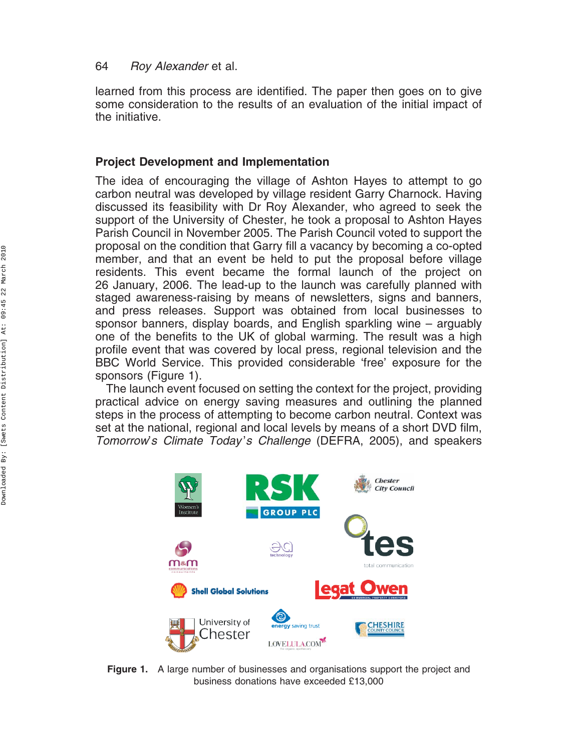## 64 Roy Alexander et al.

learned from this process are identified. The paper then goes on to give some consideration to the results of an evaluation of the initial impact of the initiative.

# Project Development and Implementation

The idea of encouraging the village of Ashton Hayes to attempt to go carbon neutral was developed by village resident Garry Charnock. Having discussed its feasibility with Dr Roy Alexander, who agreed to seek the support of the University of Chester, he took a proposal to Ashton Hayes Parish Council in November 2005. The Parish Council voted to support the proposal on the condition that Garry fill a vacancy by becoming a co-opted member, and that an event be held to put the proposal before village residents. This event became the formal launch of the project on 26 January, 2006. The lead-up to the launch was carefully planned with staged awareness-raising by means of newsletters, signs and banners, and press releases. Support was obtained from local businesses to sponsor banners, display boards, and English sparkling wine – arguably one of the benefits to the UK of global warming. The result was a high profile event that was covered by local press, regional television and the BBC World Service. This provided considerable 'free' exposure for the sponsors (Figure 1).

The launch event focused on setting the context for the project, providing practical advice on energy saving measures and outlining the planned steps in the process of attempting to become carbon neutral. Context was set at the national, regional and local levels by means of a short DVD film, Tomorrow's Climate Today's Challenge (DEFRA, 2005), and speakers



Figure 1. A large number of businesses and organisations support the project and business donations have exceeded £13,000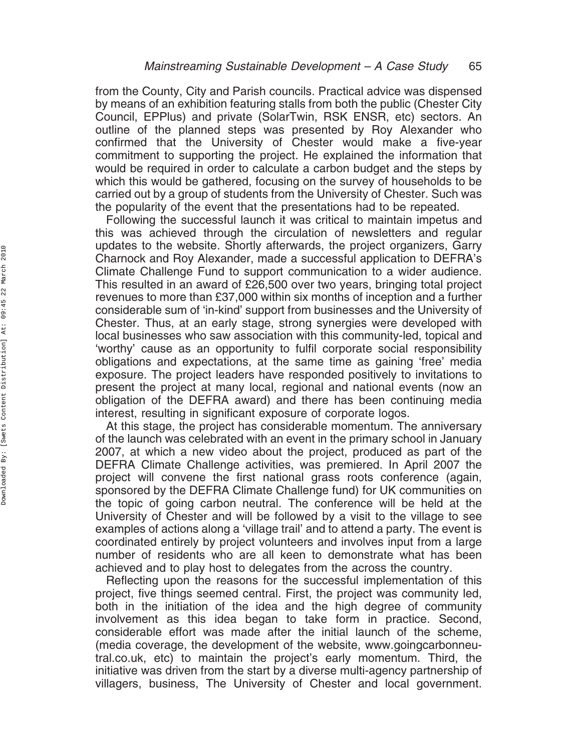from the County, City and Parish councils. Practical advice was dispensed by means of an exhibition featuring stalls from both the public (Chester City Council, EPPlus) and private (SolarTwin, RSK ENSR, etc) sectors. An outline of the planned steps was presented by Roy Alexander who confirmed that the University of Chester would make a five-year commitment to supporting the project. He explained the information that would be required in order to calculate a carbon budget and the steps by which this would be gathered, focusing on the survey of households to be carried out by a group of students from the University of Chester. Such was the popularity of the event that the presentations had to be repeated.

Following the successful launch it was critical to maintain impetus and this was achieved through the circulation of newsletters and regular updates to the website. Shortly afterwards, the project organizers, Garry Charnock and Roy Alexander, made a successful application to DEFRA's Climate Challenge Fund to support communication to a wider audience. This resulted in an award of £26,500 over two years, bringing total project revenues to more than £37,000 within six months of inception and a further considerable sum of 'in-kind' support from businesses and the University of Chester. Thus, at an early stage, strong synergies were developed with local businesses who saw association with this community-led, topical and 'worthy' cause as an opportunity to fulfil corporate social responsibility obligations and expectations, at the same time as gaining 'free' media exposure. The project leaders have responded positively to invitations to present the project at many local, regional and national events (now an obligation of the DEFRA award) and there has been continuing media interest, resulting in significant exposure of corporate logos.

At this stage, the project has considerable momentum. The anniversary of the launch was celebrated with an event in the primary school in January 2007, at which a new video about the project, produced as part of the DEFRA Climate Challenge activities, was premiered. In April 2007 the project will convene the first national grass roots conference (again, sponsored by the DEFRA Climate Challenge fund) for UK communities on the topic of going carbon neutral. The conference will be held at the University of Chester and will be followed by a visit to the village to see examples of actions along a 'village trail' and to attend a party. The event is coordinated entirely by project volunteers and involves input from a large number of residents who are all keen to demonstrate what has been achieved and to play host to delegates from the across the country.

Reflecting upon the reasons for the successful implementation of this project, five things seemed central. First, the project was community led, both in the initiation of the idea and the high degree of community involvement as this idea began to take form in practice. Second, considerable effort was made after the initial launch of the scheme, (media coverage, the development of the website, www.goingcarbonneutral.co.uk, etc) to maintain the project's early momentum. Third, the initiative was driven from the start by a diverse multi-agency partnership of villagers, business, The University of Chester and local government.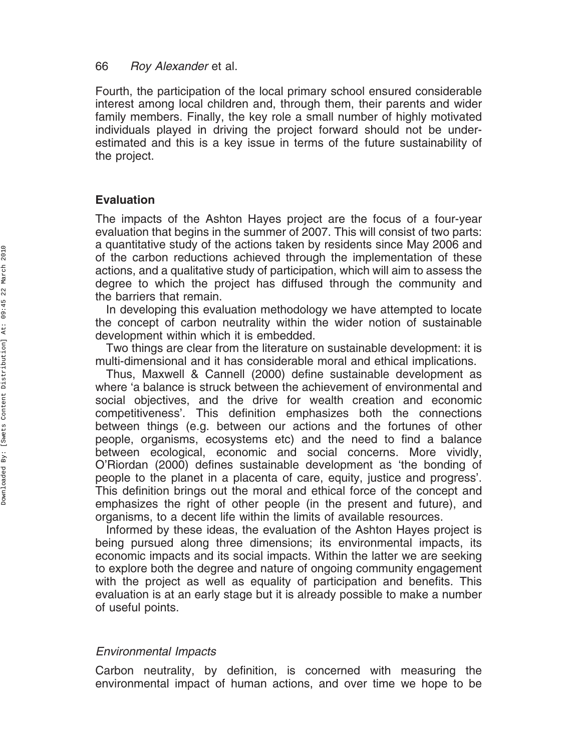#### 66 Roy Alexander et al.

Fourth, the participation of the local primary school ensured considerable interest among local children and, through them, their parents and wider family members. Finally, the key role a small number of highly motivated individuals played in driving the project forward should not be underestimated and this is a key issue in terms of the future sustainability of the project.

# Evaluation

The impacts of the Ashton Hayes project are the focus of a four-year evaluation that begins in the summer of 2007. This will consist of two parts: a quantitative study of the actions taken by residents since May 2006 and of the carbon reductions achieved through the implementation of these actions, and a qualitative study of participation, which will aim to assess the degree to which the project has diffused through the community and the barriers that remain.

In developing this evaluation methodology we have attempted to locate the concept of carbon neutrality within the wider notion of sustainable development within which it is embedded.

Two things are clear from the literature on sustainable development: it is multi-dimensional and it has considerable moral and ethical implications.

Thus, Maxwell & Cannell (2000) define sustainable development as where 'a balance is struck between the achievement of environmental and social objectives, and the drive for wealth creation and economic competitiveness'. This definition emphasizes both the connections between things (e.g. between our actions and the fortunes of other people, organisms, ecosystems etc) and the need to find a balance between ecological, economic and social concerns. More vividly, O'Riordan (2000) defines sustainable development as 'the bonding of people to the planet in a placenta of care, equity, justice and progress'. This definition brings out the moral and ethical force of the concept and emphasizes the right of other people (in the present and future), and organisms, to a decent life within the limits of available resources.

Informed by these ideas, the evaluation of the Ashton Hayes project is being pursued along three dimensions; its environmental impacts, its economic impacts and its social impacts. Within the latter we are seeking to explore both the degree and nature of ongoing community engagement with the project as well as equality of participation and benefits. This evaluation is at an early stage but it is already possible to make a number of useful points.

# Environmental Impacts

Carbon neutrality, by definition, is concerned with measuring the environmental impact of human actions, and over time we hope to be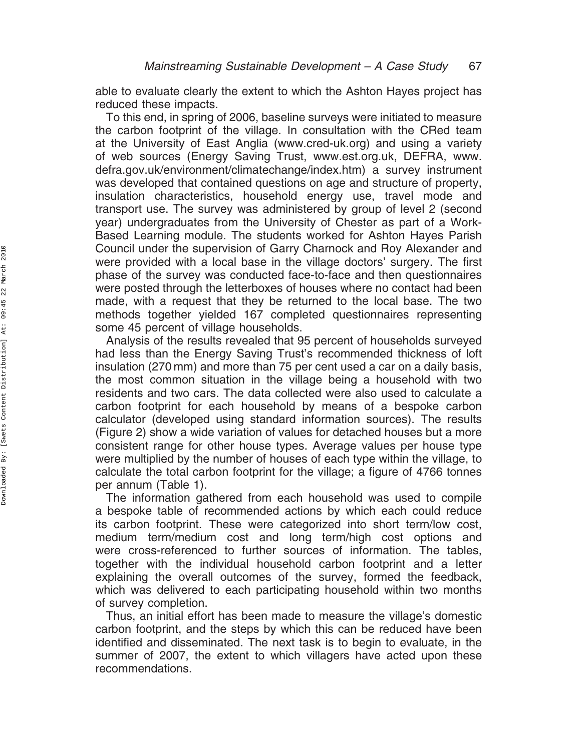able to evaluate clearly the extent to which the Ashton Hayes project has reduced these impacts.

To this end, in spring of 2006, baseline surveys were initiated to measure the carbon footprint of the village. In consultation with the CRed team at the University of East Anglia (www.cred-uk.org) and using a variety of web sources (Energy Saving Trust, www.est.org.uk, DEFRA, www. defra.gov.uk/environment/climatechange/index.htm) a survey instrument was developed that contained questions on age and structure of property, insulation characteristics, household energy use, travel mode and transport use. The survey was administered by group of level 2 (second year) undergraduates from the University of Chester as part of a Work-Based Learning module. The students worked for Ashton Hayes Parish Council under the supervision of Garry Charnock and Roy Alexander and were provided with a local base in the village doctors' surgery. The first phase of the survey was conducted face-to-face and then questionnaires were posted through the letterboxes of houses where no contact had been made, with a request that they be returned to the local base. The two methods together yielded 167 completed questionnaires representing some 45 percent of village households.

Analysis of the results revealed that 95 percent of households surveyed had less than the Energy Saving Trust's recommended thickness of loft insulation (270 mm) and more than 75 per cent used a car on a daily basis, the most common situation in the village being a household with two residents and two cars. The data collected were also used to calculate a carbon footprint for each household by means of a bespoke carbon calculator (developed using standard information sources). The results (Figure 2) show a wide variation of values for detached houses but a more consistent range for other house types. Average values per house type were multiplied by the number of houses of each type within the village, to calculate the total carbon footprint for the village; a figure of 4766 tonnes per annum (Table 1).

The information gathered from each household was used to compile a bespoke table of recommended actions by which each could reduce its carbon footprint. These were categorized into short term/low cost, medium term/medium cost and long term/high cost options and were cross-referenced to further sources of information. The tables, together with the individual household carbon footprint and a letter explaining the overall outcomes of the survey, formed the feedback, which was delivered to each participating household within two months of survey completion.

Thus, an initial effort has been made to measure the village's domestic carbon footprint, and the steps by which this can be reduced have been identified and disseminated. The next task is to begin to evaluate, in the summer of 2007, the extent to which villagers have acted upon these recommendations.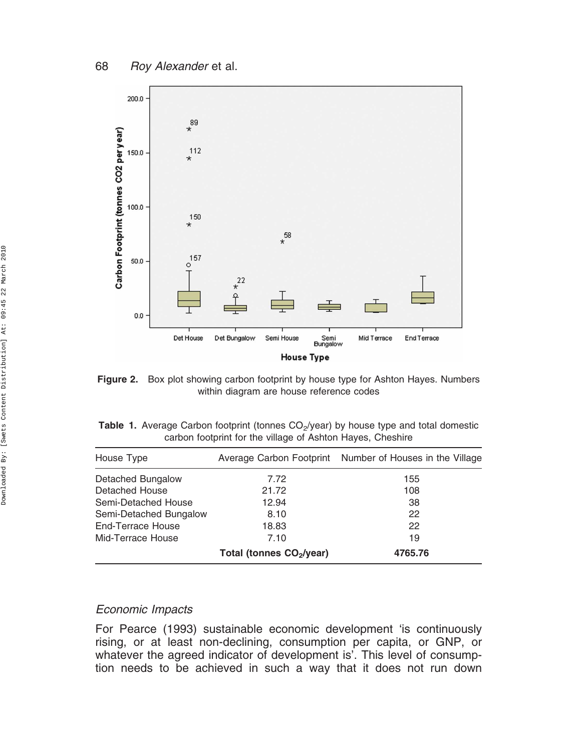

Figure 2. Box plot showing carbon footprint by house type for Ashton Hayes. Numbers within diagram are house reference codes

|  | <b>Table 1.</b> Average Carbon footprint (tonnes $CO_2$ /year) by house type and total domestic |  |                                                            |  |  |  |  |
|--|-------------------------------------------------------------------------------------------------|--|------------------------------------------------------------|--|--|--|--|
|  |                                                                                                 |  | carbon footprint for the village of Ashton Hayes, Cheshire |  |  |  |  |

| House Type             |                                      | Average Carbon Footprint Number of Houses in the Village |
|------------------------|--------------------------------------|----------------------------------------------------------|
| Detached Bungalow      | 7.72                                 | 155                                                      |
| Detached House         | 21.72                                | 108                                                      |
| Semi-Detached House    | 12.94                                | 38                                                       |
| Semi-Detached Bungalow | 8.10                                 | 22                                                       |
| End-Terrace House      | 18.83                                | 22                                                       |
| Mid-Terrace House      | 7.10                                 | 19                                                       |
|                        | Total (tonnes CO <sub>2</sub> /year) | 4765.76                                                  |

## Economic Impacts

For Pearce (1993) sustainable economic development 'is continuously rising, or at least non-declining, consumption per capita, or GNP, or whatever the agreed indicator of development is'. This level of consumption needs to be achieved in such a way that it does not run down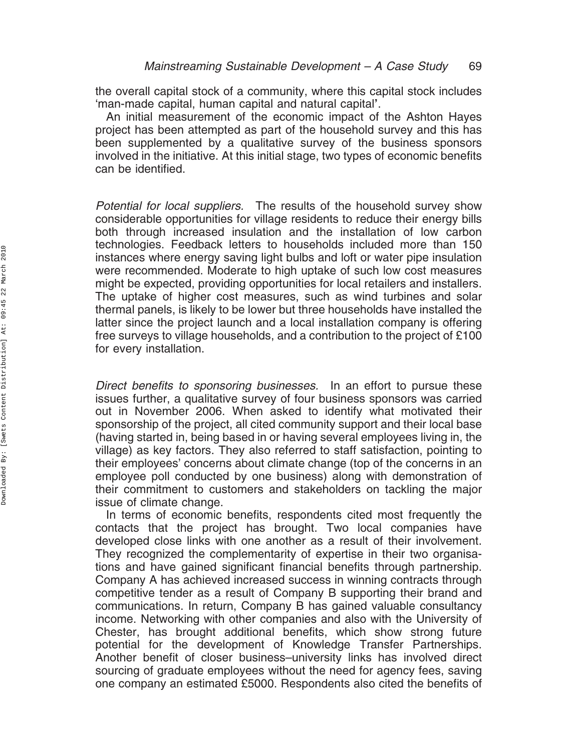the overall capital stock of a community, where this capital stock includes 'man-made capital, human capital and natural capital'.

An initial measurement of the economic impact of the Ashton Hayes project has been attempted as part of the household survey and this has been supplemented by a qualitative survey of the business sponsors involved in the initiative. At this initial stage, two types of economic benefits can be identified.

Potential for local suppliers. The results of the household survey show considerable opportunities for village residents to reduce their energy bills both through increased insulation and the installation of low carbon technologies. Feedback letters to households included more than 150 instances where energy saving light bulbs and loft or water pipe insulation were recommended. Moderate to high uptake of such low cost measures might be expected, providing opportunities for local retailers and installers. The uptake of higher cost measures, such as wind turbines and solar thermal panels, is likely to be lower but three households have installed the latter since the project launch and a local installation company is offering free surveys to village households, and a contribution to the project of £100 for every installation.

Direct benefits to sponsoring businesses. In an effort to pursue these issues further, a qualitative survey of four business sponsors was carried out in November 2006. When asked to identify what motivated their sponsorship of the project, all cited community support and their local base (having started in, being based in or having several employees living in, the village) as key factors. They also referred to staff satisfaction, pointing to their employees' concerns about climate change (top of the concerns in an employee poll conducted by one business) along with demonstration of their commitment to customers and stakeholders on tackling the major issue of climate change.

In terms of economic benefits, respondents cited most frequently the contacts that the project has brought. Two local companies have developed close links with one another as a result of their involvement. They recognized the complementarity of expertise in their two organisations and have gained significant financial benefits through partnership. Company A has achieved increased success in winning contracts through competitive tender as a result of Company B supporting their brand and communications. In return, Company B has gained valuable consultancy income. Networking with other companies and also with the University of Chester, has brought additional benefits, which show strong future potential for the development of Knowledge Transfer Partnerships. Another benefit of closer business–university links has involved direct sourcing of graduate employees without the need for agency fees, saving one company an estimated £5000. Respondents also cited the benefits of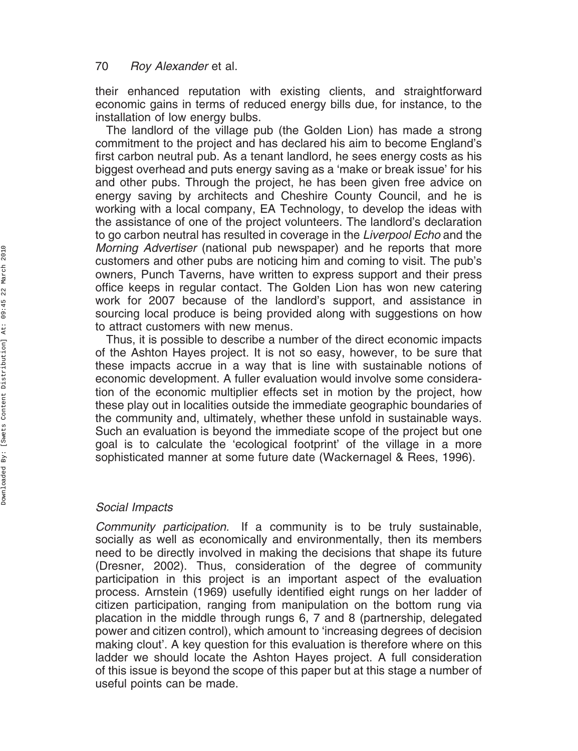# 70 Rov Alexander et al.

their enhanced reputation with existing clients, and straightforward economic gains in terms of reduced energy bills due, for instance, to the installation of low energy bulbs.

The landlord of the village pub (the Golden Lion) has made a strong commitment to the project and has declared his aim to become England's first carbon neutral pub. As a tenant landlord, he sees energy costs as his biggest overhead and puts energy saving as a 'make or break issue' for his and other pubs. Through the project, he has been given free advice on energy saving by architects and Cheshire County Council, and he is working with a local company, EA Technology, to develop the ideas with the assistance of one of the project volunteers. The landlord's declaration to go carbon neutral has resulted in coverage in the Liverpool Echo and the Morning Advertiser (national pub newspaper) and he reports that more customers and other pubs are noticing him and coming to visit. The pub's owners, Punch Taverns, have written to express support and their press office keeps in regular contact. The Golden Lion has won new catering work for 2007 because of the landlord's support, and assistance in sourcing local produce is being provided along with suggestions on how to attract customers with new menus.

Thus, it is possible to describe a number of the direct economic impacts of the Ashton Hayes project. It is not so easy, however, to be sure that these impacts accrue in a way that is line with sustainable notions of economic development. A fuller evaluation would involve some consideration of the economic multiplier effects set in motion by the project, how these play out in localities outside the immediate geographic boundaries of the community and, ultimately, whether these unfold in sustainable ways. Such an evaluation is beyond the immediate scope of the project but one goal is to calculate the 'ecological footprint' of the village in a more sophisticated manner at some future date (Wackernagel & Rees, 1996).

## Social Impacts

Community participation. If a community is to be truly sustainable, socially as well as economically and environmentally, then its members need to be directly involved in making the decisions that shape its future (Dresner, 2002). Thus, consideration of the degree of community participation in this project is an important aspect of the evaluation process. Arnstein (1969) usefully identified eight rungs on her ladder of citizen participation, ranging from manipulation on the bottom rung via placation in the middle through rungs 6, 7 and 8 (partnership, delegated power and citizen control), which amount to 'increasing degrees of decision making clout'. A key question for this evaluation is therefore where on this ladder we should locate the Ashton Hayes project. A full consideration of this issue is beyond the scope of this paper but at this stage a number of useful points can be made.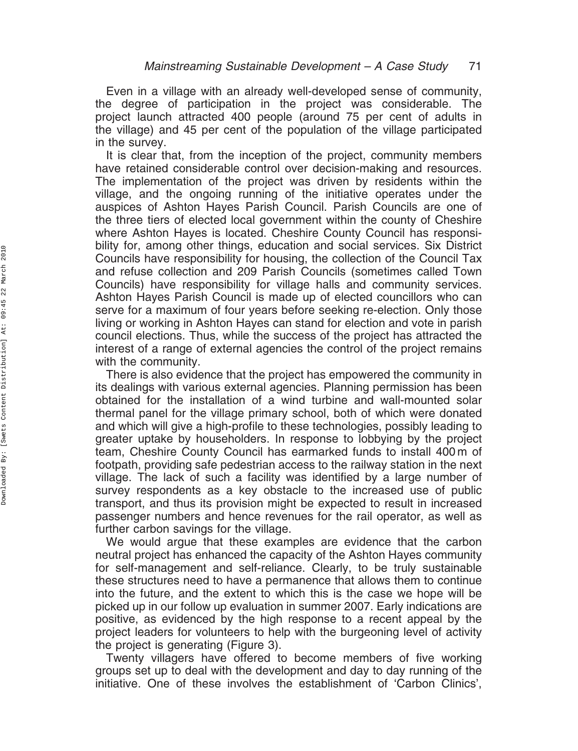Even in a village with an already well-developed sense of community, the degree of participation in the project was considerable. The project launch attracted 400 people (around 75 per cent of adults in the village) and 45 per cent of the population of the village participated in the survey.

It is clear that, from the inception of the project, community members have retained considerable control over decision-making and resources. The implementation of the project was driven by residents within the village, and the ongoing running of the initiative operates under the auspices of Ashton Hayes Parish Council. Parish Councils are one of the three tiers of elected local government within the county of Cheshire where Ashton Hayes is located. Cheshire County Council has responsibility for, among other things, education and social services. Six District Councils have responsibility for housing, the collection of the Council Tax and refuse collection and 209 Parish Councils (sometimes called Town Councils) have responsibility for village halls and community services. Ashton Hayes Parish Council is made up of elected councillors who can serve for a maximum of four years before seeking re-election. Only those living or working in Ashton Hayes can stand for election and vote in parish council elections. Thus, while the success of the project has attracted the interest of a range of external agencies the control of the project remains with the community.

There is also evidence that the project has empowered the community in its dealings with various external agencies. Planning permission has been obtained for the installation of a wind turbine and wall-mounted solar thermal panel for the village primary school, both of which were donated and which will give a high-profile to these technologies, possibly leading to greater uptake by householders. In response to lobbying by the project team, Cheshire County Council has earmarked funds to install 400 m of footpath, providing safe pedestrian access to the railway station in the next village. The lack of such a facility was identified by a large number of survey respondents as a key obstacle to the increased use of public transport, and thus its provision might be expected to result in increased passenger numbers and hence revenues for the rail operator, as well as further carbon savings for the village.

We would argue that these examples are evidence that the carbon neutral project has enhanced the capacity of the Ashton Hayes community for self-management and self-reliance. Clearly, to be truly sustainable these structures need to have a permanence that allows them to continue into the future, and the extent to which this is the case we hope will be picked up in our follow up evaluation in summer 2007. Early indications are positive, as evidenced by the high response to a recent appeal by the project leaders for volunteers to help with the burgeoning level of activity the project is generating (Figure 3).

Twenty villagers have offered to become members of five working groups set up to deal with the development and day to day running of the initiative. One of these involves the establishment of 'Carbon Clinics',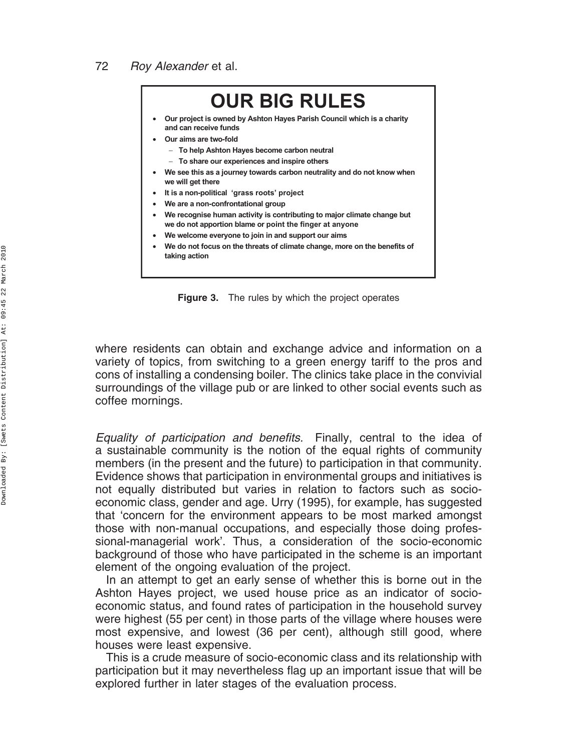

- **Our aims are two-fold**
	- − **To help Ashton Hayes become carbon neutral**
	- − **To share our experiences and inspire others**
- **We see this as a journey towards carbon neutrality and do not know when we will get there**
- **It is a non-political 'grass roots' project**
- **We are a non-confrontational group**
- **We recognise human activity is contributing to major climate change but we do not apportion blame or point the finger at anyone**
- **We welcome everyone to join in and support our aims**
- **We do not focus on the threats of climate change, more on the benefits of taking action**

Figure 3. The rules by which the project operates

where residents can obtain and exchange advice and information on a variety of topics, from switching to a green energy tariff to the pros and cons of installing a condensing boiler. The clinics take place in the convivial surroundings of the village pub or are linked to other social events such as coffee mornings.

Equality of participation and benefits. Finally, central to the idea of a sustainable community is the notion of the equal rights of community members (in the present and the future) to participation in that community. Evidence shows that participation in environmental groups and initiatives is not equally distributed but varies in relation to factors such as socioeconomic class, gender and age. Urry (1995), for example, has suggested that 'concern for the environment appears to be most marked amongst those with non-manual occupations, and especially those doing professional-managerial work'. Thus, a consideration of the socio-economic background of those who have participated in the scheme is an important element of the ongoing evaluation of the project.

In an attempt to get an early sense of whether this is borne out in the Ashton Hayes project, we used house price as an indicator of socioeconomic status, and found rates of participation in the household survey were highest (55 per cent) in those parts of the village where houses were most expensive, and lowest (36 per cent), although still good, where houses were least expensive.

This is a crude measure of socio-economic class and its relationship with participation but it may nevertheless flag up an important issue that will be explored further in later stages of the evaluation process.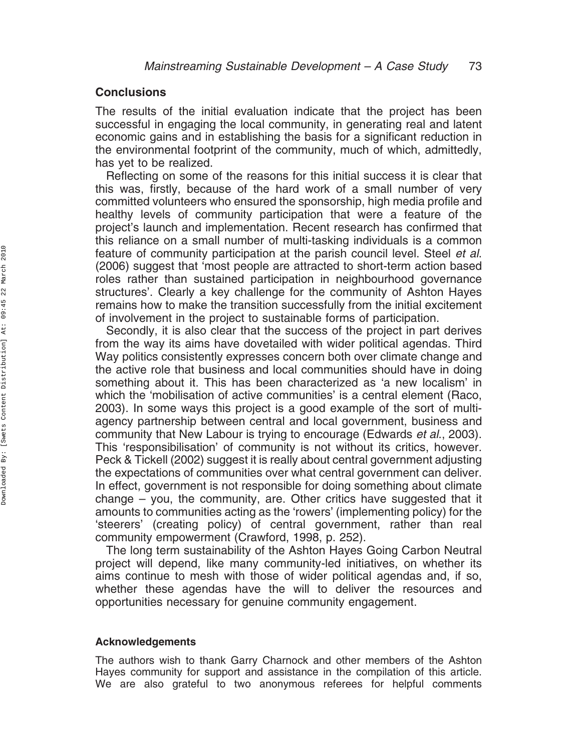#### **Conclusions**

The results of the initial evaluation indicate that the project has been successful in engaging the local community, in generating real and latent economic gains and in establishing the basis for a significant reduction in the environmental footprint of the community, much of which, admittedly, has yet to be realized.

Reflecting on some of the reasons for this initial success it is clear that this was, firstly, because of the hard work of a small number of very committed volunteers who ensured the sponsorship, high media profile and healthy levels of community participation that were a feature of the project's launch and implementation. Recent research has confirmed that this reliance on a small number of multi-tasking individuals is a common feature of community participation at the parish council level. Steel et al. (2006) suggest that 'most people are attracted to short-term action based roles rather than sustained participation in neighbourhood governance structures'. Clearly a key challenge for the community of Ashton Hayes remains how to make the transition successfully from the initial excitement of involvement in the project to sustainable forms of participation.

Secondly, it is also clear that the success of the project in part derives from the way its aims have dovetailed with wider political agendas. Third Way politics consistently expresses concern both over climate change and the active role that business and local communities should have in doing something about it. This has been characterized as 'a new localism' in which the 'mobilisation of active communities' is a central element (Raco, 2003). In some ways this project is a good example of the sort of multiagency partnership between central and local government, business and community that New Labour is trying to encourage (Edwards et al., 2003). This 'responsibilisation' of community is not without its critics, however. Peck & Tickell (2002) suggest it is really about central government adjusting the expectations of communities over what central government can deliver. In effect, government is not responsible for doing something about climate change – you, the community, are. Other critics have suggested that it amounts to communities acting as the 'rowers' (implementing policy) for the 'steerers' (creating policy) of central government, rather than real community empowerment (Crawford, 1998, p. 252).

The long term sustainability of the Ashton Hayes Going Carbon Neutral project will depend, like many community-led initiatives, on whether its aims continue to mesh with those of wider political agendas and, if so, whether these agendas have the will to deliver the resources and opportunities necessary for genuine community engagement.

#### Acknowledgements

The authors wish to thank Garry Charnock and other members of the Ashton Hayes community for support and assistance in the compilation of this article. We are also grateful to two anonymous referees for helpful comments